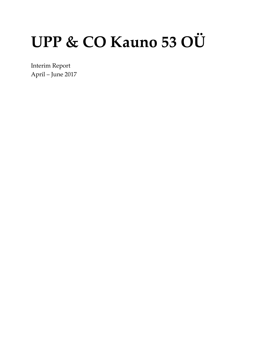# UPP & CO Kauno 53 OÜ

Interim Report April – June 2017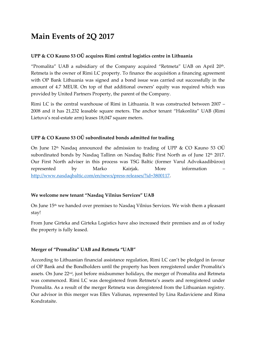## **Main Events of 2Q 2017**

#### **UPP & CO Kauno 53 OÜ acquires Rimi central logistics centre in Lithuania**

"Promalita" UAB a subsidiary of the Company acquired "Retmeta" UAB on April  $20<sup>th</sup>$ . Retmeta is the owner of Rimi LC property. To finance the acquisition a financing agreement with OP Bank Lithuania was signed and a bond issue was carried out successfully in the amount of 4.7 MEUR. On top of that additional owners' equity was required which was provided by United Partners Property, the parent of the Company.

Rimi LC is the central warehouse of Rimi in Lithuania. It was constructed between 2007 – 2008 and it has 21,232 leasable square meters. The anchor tenant "Hakonlita" UAB (Rimi Lietuva's real-estate arm) leases 18,047 square meters.

#### **UPP & CO Kauno 53 OÜ subordinated bonds admitted for trading**

On June 12<sup>th</sup> Nasdaq announced the admission to trading of UPP & CO Kauno 53 OÜ subordinated bonds by Nasdaq Tallinn on Nasdaq Baltic First North as of June 12<sup>th</sup> 2017. Our First North adviser in this process was TSG Baltic (former Varul Advokaadibüroo) represented by Marko Kairjak. More information – [http://www.nasdaqbaltic.com/en/news/press-releases/?id=3800117.](http://www.nasdaqbaltic.com/en/news/press-releases/?id=3800117)

#### **We welcome new tenant "Nasdaq Vilnius Services" UAB**

On June 15<sup>th</sup> we handed over premises to Nasdaq Vilnius Services. We wish them a pleasant stay!

From June Girteka and Girteka Logistics have also increased their premises and as of today the property is fully leased.

#### **Merger of "Promalita" UAB and Retmeta "UAB"**

According to Lithuanian financial assistance regulation, Rimi LC can't be pledged in favour of OP Bank and the Bondholders until the property has been reregistered under Promalita's assets. On June  $22<sup>nd</sup>$ , just before midsummer holidays, the merger of Promalita and Retmeta was commenced. Rimi LC was deregistered from Retmeta's assets and reregistered under Promalita. As a result of the merger Retmeta was deregistered from the Lithuanian registry. Our advisor in this merger was Ellex Valiunas, represented by Lina Radaviciene and Rima Kondrataite.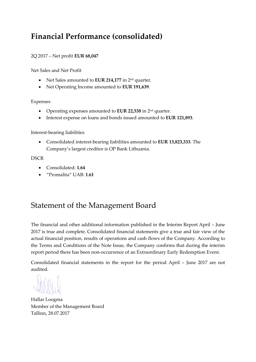## **Financial Performance (consolidated)**

#### 2Q 2017 – Net profit **EUR 68,047**

Net Sales and Net Profit

- Net Sales amounted to **EUR 214,177** in 2nd quarter.
- Net Operating Income amounted to **EUR 191,639**.

Expenses

- Operating expenses amounted to **EUR 22,538** in 2nd quarter.
- Interest expense on loans and bonds issued amounted to **EUR 121,893**.

Interest-bearing liabilities

 Consolidated interest-bearing liabilities amounted to **EUR 13,823,333**. The Company's largest creditor is OP Bank Lithuania.

**DSCR** 

- Consolidated: **1.64**
- "Promalita" UAB: **1.61**

## Statement of the Management Board

The financial and other additional information published in the Interim Report April – June 2017 is true and complete. Consolidated financial statements give a true and fair view of the actual financial position, results of operations and cash flows of the Company. According to the Terms and Conditions of the Note Issue, the Company confirms that during the interim report period there has been non-occurrence of an Extraordinary Early Redemption Event.

Consolidated financial statements in the report for the period April – June 2017 are not audited.

Hallar Loogma Member of the Management Board Tallinn, 28.07.2017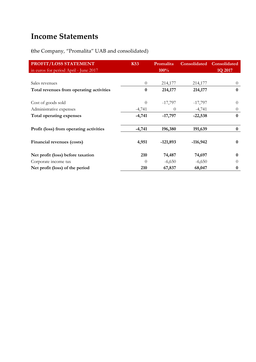## **Income Statements**

**(**the Company, "Promalita" UAB and consolidated)

| PROFIT/LOSS STATEMENT                    | <b>K53</b> | Promalita  |            | <b>Consolidated Consolidated</b> |
|------------------------------------------|------------|------------|------------|----------------------------------|
| in euros for period April - June 2017    |            | 100%       |            | 1Q 2017                          |
|                                          |            |            |            |                                  |
| Sales revenues                           | $\theta$   | 214,177    | 214,177    | $\theta$                         |
| Total revenues from operating activities | $\bf{0}$   | 214,177    | 214,177    | $\bf{0}$                         |
| Cost of goods sold                       | $\theta$   | $-17,797$  | $-17,797$  | $\Omega$                         |
| Administrative expenses                  | $-4,741$   | $\theta$   | $-4,741$   | $\theta$                         |
| Total operating expenses                 | $-4,741$   | $-17,797$  | $-22,538$  | $\bf{0}$                         |
| Profit (loss) from operating activities  | $-4,741$   | 196,380    | 191,639    | $\bf{0}$                         |
| Financial revenues (costs)               | 4,951      | $-121,893$ | $-116,942$ | $\bf{0}$                         |
| Net profit (loss) before taxation        | 210        | 74,487     | 74,697     | $\bf{0}$                         |
| Corporate income tax                     | $\Omega$   | $-6,650$   | $-6,650$   | $\Omega$                         |
| Net profit (loss) of the period          | 210        | 67,837     | 68,047     | 0                                |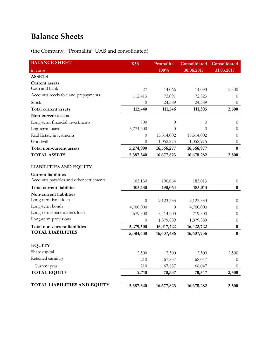## **Balance Sheets**

**(**the Company, "Promalita" UAB and consolidated)

| <b>BALANCE SHEET</b>                    | <b>K53</b> | Promalita  | Consolidated | Consolidated     |
|-----------------------------------------|------------|------------|--------------|------------------|
| in euros                                |            | 100%       | 30.06.2017   | 31.03.2017       |
| <b>ASSETS</b>                           |            |            |              |                  |
| <b>Current assets</b>                   |            |            |              |                  |
| Cash and bank                           | 27         | 14,066     | 14,093       | 2,500            |
| Accounts receivable and prepayments     | 112,413    | 73,091     | 72,823       | $\theta$         |
| Stock                                   | 0          | 24,389     | 24,389       | $\theta$         |
| Total current assets                    | 112,440    | 111,546    | 111,305      | 2,500            |
| Non-current assets                      |            |            |              |                  |
| Long-term financial investments         | 700        | $\theta$   | $\theta$     | $\overline{0}$   |
| Log-term loans                          | 5,274,200  | $\theta$   | $\theta$     | $\theta$         |
| Real Estate investments                 | $\theta$   | 15,514,002 | 15,514,002   | $\theta$         |
| Goodwill                                | $\theta$   | 1,052,275  | 1,052,975    | $\theta$         |
| Total non-current assets                | 5,274,900  | 16,566,277 | 16,566,977   | $\bf{0}$         |
| <b>TOTAL ASSETS</b>                     | 5,387,340  | 16,677,823 | 16,678,282   | 2,500            |
| <b>LIABILITIES AND EQUITY</b>           |            |            |              |                  |
| <b>Current liabilities</b>              |            |            |              |                  |
| Accounts payables and other settlements | 105,130    | 190,064    | 185,013      | $\theta$         |
| Total current liabilties                | 105,130    | 190,064    | 185,013      | $\bf{0}$         |
| Non-current liabilities                 |            |            |              |                  |
| Long-term bank loan                     | $\theta$   | 9,123,333  | 9,123,333    | $\theta$         |
| Long-term bonds                         | 4,700,000  | $\theta$   | 4,700,000    | $\theta$         |
| Long-term shareholder's loan            | 579,500    | 5,414,200  | 719,500      | $\theta$         |
| Long-term provisions                    | $\theta$   | 1,879,889  | 1,879,889    | $\overline{0}$   |
| Total non-current liabilities           | 5,279,500  | 16,417,422 | 16,422,722   | $\boldsymbol{0}$ |
| <b>TOTAL LIABILITIES</b>                | 5,384,630  | 16,607,486 | 16,607,735   | $\bf{0}$         |
| <b>EQUITY</b>                           |            |            |              |                  |
| Share capital                           | 2,500      | 2,500      | 2,500        | 2,500            |
| Retained earnings                       | 210        | 67,837     | 68,047       | $\theta$         |
| Current year                            | 210        | 67,837     | 68,047       | $\overline{0}$   |
| <b>TOTAL EQUITY</b>                     | 2,710      | 70,337     | 70,547       | 2,500            |
|                                         |            |            |              |                  |
| <b>TOTAL LIABILITIES AND EQUITY</b>     | 5,387,340  | 16,677,823 | 16,678,282   | 2,500            |